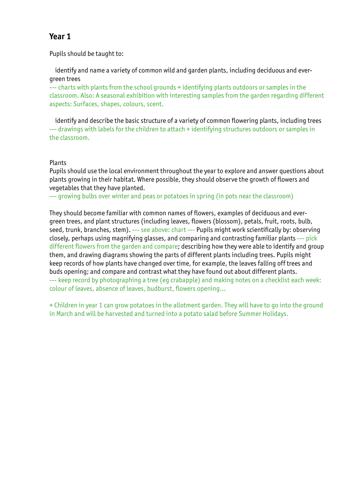Pupils should be taught to:

 identify and name a variety of common wild and garden plants, including deciduous and evergreen trees

--- charts with plants from the school grounds + identifying plants outdoors or samples in the classroom. Also: A seasonal exhibition with interesting samples from the garden regarding different aspects: Surfaces, shapes, colours, scent.

 identify and describe the basic structure of a variety of common flowering plants, including trees --- drawings with labels for the children to attach + identifying structures outdoors or samples in the classroom.

#### Plants

Pupils should use the local environment throughout the year to explore and answer questions about plants growing in their habitat. Where possible, they should observe the growth of flowers and vegetables that they have planted.

--- growing bulbs over winter and peas or potatoes in spring (in pots near the classroom)

They should become familiar with common names of flowers, examples of deciduous and evergreen trees, and plant structures (including leaves, flowers (blossom), petals, fruit, roots, bulb, seed, trunk, branches, stem). --- see above: chart --- Pupils might work scientifically by: observing closely, perhaps using magnifying glasses, and comparing and contrasting familiar plants --- pick different flowers from the garden and compare; describing how they were able to identify and group them, and drawing diagrams showing the parts of different plants including trees. Pupils might keep records of how plants have changed over time, for example, the leaves falling off trees and buds opening; and compare and contrast what they have found out about different plants. --- keep record by photographing a tree (eg crabapple) and making notes on a checklist each week: colour of leaves, absence of leaves, budburst, flowers opening...

+ Children in year 1 can grow potatoes in the allotment garden. They will have to go into the ground in March and will be harvested and turned into a potato salad before Summer Holidays.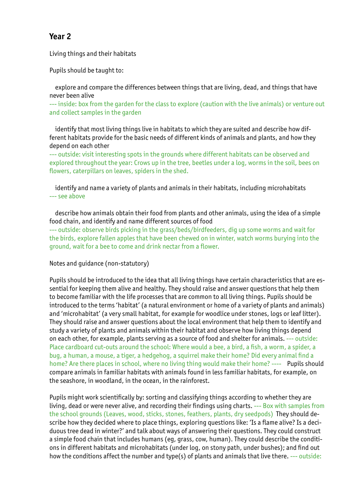Living things and their habitats

Pupils should be taught to:

 explore and compare the differences between things that are living, dead, and things that have never been alive

--- inside: box from the garden for the class to explore (caution with the live animals) or venture out and collect samples in the garden

 identify that most living things live in habitats to which they are suited and describe how different habitats provide for the basic needs of different kinds of animals and plants, and how they depend on each other

--- outside: visit interesting spots in the grounds where different habitats can be observed and explored throughout the year: Crows up in the tree, beetles under a log, worms in the soil, bees on flowers, caterpillars on leaves, spiders in the shed.

 identify and name a variety of plants and animals in their habitats, including microhabitats --- see above

 describe how animals obtain their food from plants and other animals, using the idea of a simple food chain, and identify and name different sources of food

--- outside: observe birds picking in the grass/beds/birdfeeders, dig up some worms and wait for the birds, explore fallen apples that have been chewed on in winter, watch worms burying into the ground, wait for a bee to come and drink nectar from a flower.

Notes and guidance (non-statutory)

Pupils should be introduced to the idea that all living things have certain characteristics that are essential for keeping them alive and healthy. They should raise and answer questions that help them to become familiar with the life processes that are common to all living things. Pupils should be introduced to the terms 'habitat' (a natural environment or home of a variety of plants and animals) and 'microhabitat' (a very small habitat, for example for woodlice under stones, logs or leaf litter). They should raise and answer questions about the local environment that help them to identify and study a variety of plants and animals within their habitat and observe how living things depend on each other, for example, plants serving as a source of food and shelter for animals. --- outside: Place cardboard cut-outs around the school: Where would a bee, a bird, a fish, a worm, a spider, a bug, a human, a mouse, a tiger, a hedgehog, a squirrel make their home? Did every animal find a home? Are there places in school, where no living thing would make their home? ---- Pupils should compare animals in familiar habitats with animals found in less familiar habitats, for example, on the seashore, in woodland, in the ocean, in the rainforest.

Pupils might work scientifically by: sorting and classifying things according to whether they are living, dead or were never alive, and recording their findings using charts. --- Box with samples from the school grounds (Leaves, wood, sticks, stones, feathers, plants, dry seedpods) They should describe how they decided where to place things, exploring questions like: 'Is a flame alive? Is a deciduous tree dead in winter?' and talk about ways of answering their questions. They could construct a simple food chain that includes humans (eg, grass, cow, human). They could describe the conditions in different habitats and microhabitats (under log, on stony path, under bushes); and find out how the conditions affect the number and type(s) of plants and animals that live there. --- outside: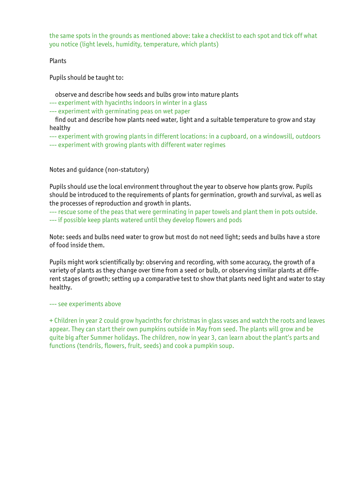the same spots in the grounds as mentioned above: take a checklist to each spot and tick off what you notice (light levels, humidity, temperature, which plants)

Plants

Pupils should be taught to:

observe and describe how seeds and bulbs grow into mature plants

--- experiment with hyacinths indoors in winter in a glass

--- experiment with germinating peas on wet paper

 find out and describe how plants need water, light and a suitable temperature to grow and stay healthy

--- experiment with growing plants in different locations: in a cupboard, on a windowsill, outdoors --- experiment with growing plants with different water regimes

Notes and guidance (non-statutory)

Pupils should use the local environment throughout the year to observe how plants grow. Pupils should be introduced to the requirements of plants for germination, growth and survival, as well as the processes of reproduction and growth in plants.

--- rescue some of the peas that were germinating in paper towels and plant them in pots outside. --- if possible keep plants watered until they develop flowers and pods

Note: seeds and bulbs need water to grow but most do not need light; seeds and bulbs have a store of food inside them.

Pupils might work scientifically by: observing and recording, with some accuracy, the growth of a variety of plants as they change over time from a seed or bulb, or observing similar plants at different stages of growth; setting up a comparative test to show that plants need light and water to stay healthy.

--- see experiments above

+ Children in year 2 could grow hyacinths for christmas in glass vases and watch the roots and leaves appear. They can start their own pumpkins outside in May from seed. The plants will grow and be quite big after Summer holidays. The children, now in year 3, can learn about the plant's parts and functions (tendrils, flowers, fruit, seeds) and cook a pumpkin soup.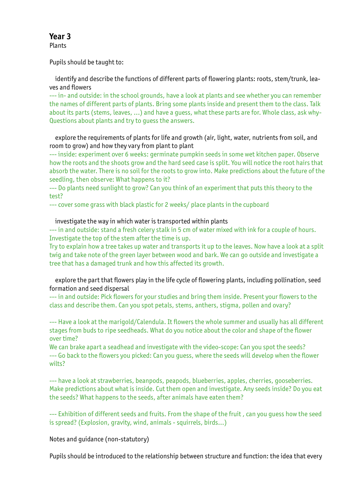**Plants** 

Pupils should be taught to:

 identify and describe the functions of different parts of flowering plants: roots, stem/trunk, leaves and flowers

--- in- and outside: in the school grounds, have a look at plants and see whether you can remember the names of different parts of plants. Bring some plants inside and present them to the class. Talk about its parts (stems, leaves, ...) and have a guess, what these parts are for. Whole class, ask why-Questions about plants and try to guess the answers.

 explore the requirements of plants for life and growth (air, light, water, nutrients from soil, and room to grow) and how they vary from plant to plant

--- inside: experiment over 6 weeks: germinate pumpkin seeds in some wet kitchen paper. Observe how the roots and the shoots grow and the hard seed case is split. You will notice the root hairs that absorb the water. There is no soil for the roots to grow into. Make predictions about the future of the seedling, then observe: What happens to it?

--- Do plants need sunlight to grow? Can you think of an experiment that puts this theory to the test?

--- cover some grass with black plastic for 2 weeks/ place plants in the cupboard

#### investigate the way in which water is transported within plants

--- in and outside: stand a fresh celery stalk in 5 cm of water mixed with ink for a couple of hours. Investigate the top of the stem after the time is up.

Try to explain how a tree takes up water and transports it up to the leaves. Now have a look at a split twig and take note of the green layer between wood and bark. We can go outside and investigate a tree that has a damaged trunk and how this affected its growth.

 explore the part that flowers play in the life cycle of flowering plants, including pollination, seed formation and seed dispersal

--- in and outside: Pick flowers for your studies and bring them inside. Present your flowers to the class and describe them. Can you spot petals, stems, anthers, stigma, pollen and ovary?

--- Have a look at the marigold/Calendula. It flowers the whole summer and usually has all different stages from buds to ripe seedheads. What do you notice about the color and shape of the flower over time?

We can brake apart a seadhead and investigate with the video-scope: Can you spot the seeds? --- Go back to the flowers you picked: Can you guess, where the seeds will develop when the flower wilts?

--- have a look at strawberries, beanpods, peapods, blueberries, apples, cherries, gooseberries. Make predictions about what is inside. Cut them open and investigate. Any seeds inside? Do you eat the seeds? What happens to the seeds, after animals have eaten them?

--- Exhibition of different seeds and fruits. From the shape of the fruit , can you guess how the seed is spread? (Explosion, gravity, wind, animals - squirrels, birds...)

Notes and guidance (non-statutory)

Pupils should be introduced to the relationship between structure and function: the idea that every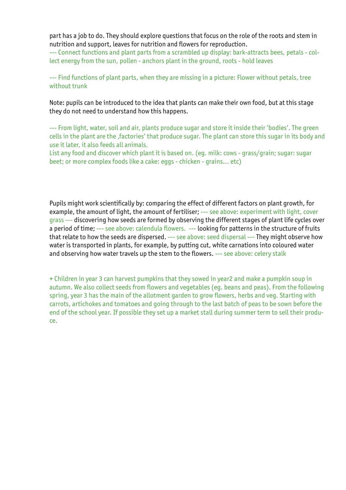part has a job to do. They should explore questions that focus on the role of the roots and stem in nutrition and support, leaves for nutrition and flowers for reproduction.

--- Connect functions and plant parts from a scrambled up display: bark-attracts bees, petals - collect energy from the sun, pollen - anchors plant in the ground, roots - hold leaves

--- Find functions of plant parts, when they are missing in a picture: Flower without petals, tree without trunk

Note: pupils can be introduced to the idea that plants can make their own food, but at this stage they do not need to understand how this happens.

--- From light, water, soil and air, plants produce sugar and store it inside their 'bodies'. The green cells in the plant are the , factories' that produce sugar. The plant can store this sugar in its body and use it later, it also feeds all animals.

List any food and discover which plant it is based on. (eg. milk: cows - grass/grain; sugar: sugar beet; or more complex foods like a cake: eggs - chicken - grains... etc)

Pupils might work scientifically by: comparing the effect of different factors on plant growth, for example, the amount of light, the amount of fertiliser; --- see above: experiment with light, cover grass --- discovering how seeds are formed by observing the different stages of plant life cycles over a period of time; --- see above: calendula flowers. --- looking for patterns in the structure of fruits that relate to how the seeds are dispersed. --- see above: seed dispersal --- They might observe how water is transported in plants, for example, by putting cut, white carnations into coloured water and observing how water travels up the stem to the flowers. --- see above: celery stalk

+ Children in year 3 can harvest pumpkins that they sowed in year2 and make a pumpkin soup in autumn. We also collect seeds from flowers and vegetables (eg. beans and peas). From the following spring, year 3 has the main of the allotment garden to grow flowers, herbs and veg. Starting with carrots, artichokes and tomatoes and going through to the last batch of peas to be sown before the end of the school year. If possible they set up a market stall during summer term to sell their produce.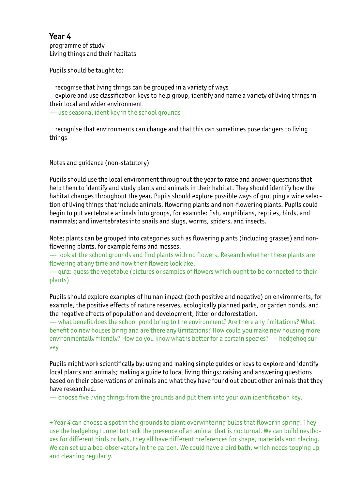programme of study Living things and their habitats

Pupils should be taught to:

 recognise that living things can be grouped in a variety of ways explore and use classification keys to help group, identify and name a variety of living things in their local and wider environment --- use seasonal ident key in the school grounds

 recognise that environments can change and that this can sometimes pose dangers to living things

Notes and guidance (non-statutory)

Pupils should use the local environment throughout the year to raise and answer questions that help them to identify and study plants and animals in their habitat. They should identify how the habitat changes throughout the year. Pupils should explore possible ways of grouping a wide selection of living things that include animals, flowering plants and non-flowering plants. Pupils could begin to put vertebrate animals into groups, for example: fish, amphibians, reptiles, birds, and mammals; and invertebrates into snails and slugs, worms, spiders, and insects.

Note: plants can be grouped into categories such as flowering plants (including grasses) and nonflowering plants, for example ferns and mosses.

--- look at the school grounds and find plants with no flowers. Research whether these plants are flowering at any time and how their flowers look like.

--- quiz: guess the vegetable (pictures or samples of flowers which ought to be connected to their plants)

Pupils should explore examples of human impact (both positive and negative) on environments, for example, the positive effects of nature reserves, ecologically planned parks, or garden ponds, and the negative effects of population and development, litter or deforestation.

--- what benefit does the school pond bring to the environment? Are there any limitations? What benefit do new houses bring and are there any limitations? How could you make new housing more environmentally friendly? How do you know what is better for a certain species? --- hedgehog survey

Pupils might work scientifically by: using and making simple guides or keys to explore and identify local plants and animals; making a guide to local living things; raising and answering questions based on their observations of animals and what they have found out about other animals that they have researched.

--- choose five living things from the grounds and put them into your own identification key.

+ Year 4 can choose a spot in the grounds to plant overwintering bulbs that flower in spring. They use the hedgehog tunnel to track the presence of an animal that is nocturnal. We can build nestboxes for different birds or bats, they all have different preferences for shape, materials and placing. We can set up a bee-observatory in the garden. We could have a bird bath, which needs topping up and cleaning regularly.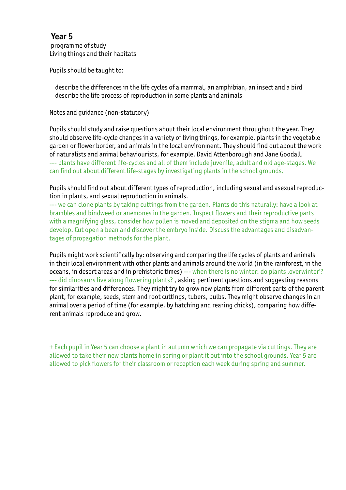programme of study Living things and their habitats

Pupils should be taught to:

 describe the differences in the life cycles of a mammal, an amphibian, an insect and a bird describe the life process of reproduction in some plants and animals

Notes and guidance (non-statutory)

Pupils should study and raise questions about their local environment throughout the year. They should observe life-cycle changes in a variety of living things, for example, plants in the vegetable garden or flower border, and animals in the local environment. They should find out about the work of naturalists and animal behaviourists, for example, David Attenborough and Jane Goodall. --- plants have different life-cycles and all of them include juvenile, adult and old age-stages. We can find out about different life-stages by investigating plants in the school grounds.

Pupils should find out about different types of reproduction, including sexual and asexual reproduction in plants, and sexual reproduction in animals.

--- we can clone plants by taking cuttings from the garden. Plants do this naturally: have a look at brambles and bindweed or anemones in the garden. Inspect flowers and their reproductive parts with a magnifying glass, consider how pollen is moved and deposited on the stigma and how seeds develop. Cut open a bean and discover the embryo inside. Discuss the advantages and disadvantages of propagation methods for the plant.

Pupils might work scientifically by: observing and comparing the life cycles of plants and animals in their local environment with other plants and animals around the world (in the rainforest, in the oceans, in desert areas and in prehistoric times) --- when there is no winter: do plants, overwinter'? --- did dinosaurs live along flowering plants?, asking pertinent questions and suggesting reasons for similarities and differences. They might try to grow new plants from different parts of the parent plant, for example, seeds, stem and root cuttings, tubers, bulbs. They might observe changes in an animal over a period of time (for example, by hatching and rearing chicks), comparing how different animals reproduce and grow.

+ Each pupil in Year 5 can choose a plant in autumn which we can propagate via cuttings. They are allowed to take their new plants home in spring or plant it out into the school grounds. Year 5 are allowed to pick flowers for their classroom or reception each week during spring and summer.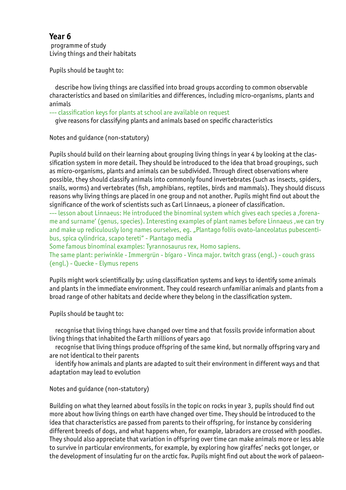programme of study Living things and their habitats

Pupils should be taught to:

 describe how living things are classified into broad groups according to common observable characteristics and based on similarities and differences, including micro-organisms, plants and animals

--- classification keys for plants at school are available on request

give reasons for classifying plants and animals based on specific characteristics

Notes and guidance (non-statutory)

Pupils should build on their learning about grouping living things in year 4 by looking at the classification system in more detail. They should be introduced to the idea that broad groupings, such as micro-organisms, plants and animals can be subdivided. Through direct observations where possible, they should classify animals into commonly found invertebrates (such as insects, spiders, snails, worms) and vertebrates (fish, amphibians, reptiles, birds and mammals). They should discuss reasons why living things are placed in one group and not another. Pupils might find out about the significance of the work of scientists such as Carl Linnaeus, a pioneer of classification.

--- lesson about Linnaeus: He introduced the binominal system which gives each species a ,forename and surname' (genus, species). Interesting examples of plant names before Linnaeus ,we can try and make up rediculously long names ourselves, eg. "Plantago foliis ovato-lanceolatus pubescentibus, spica cylindrica, scapo tereti" - Plantago media

Some famous binominal examples: Tyrannosaurus rex, Homo sapiens.

The same plant: periwinkle - Immergrün - bígaro - Vinca major. twitch grass (engl.) - couch grass (engl.) - Quecke - Elymus repens

Pupils might work scientifically by: using classification systems and keys to identify some animals and plants in the immediate environment. They could research unfamiliar animals and plants from a broad range of other habitats and decide where they belong in the classification system.

Pupils should be taught to:

 recognise that living things have changed over time and that fossils provide information about living things that inhabited the Earth millions of years ago

 recognise that living things produce offspring of the same kind, but normally offspring vary and are not identical to their parents

 identify how animals and plants are adapted to suit their environment in different ways and that adaptation may lead to evolution

Notes and guidance (non-statutory)

Building on what they learned about fossils in the topic on rocks in year 3, pupils should find out more about how living things on earth have changed over time. They should be introduced to the idea that characteristics are passed from parents to their offspring, for instance by considering different breeds of dogs, and what happens when, for example, labradors are crossed with poodles. They should also appreciate that variation in offspring over time can make animals more or less able to survive in particular environments, for example, by exploring how giraffes' necks got longer, or the development of insulating fur on the arctic fox. Pupils might find out about the work of palaeon